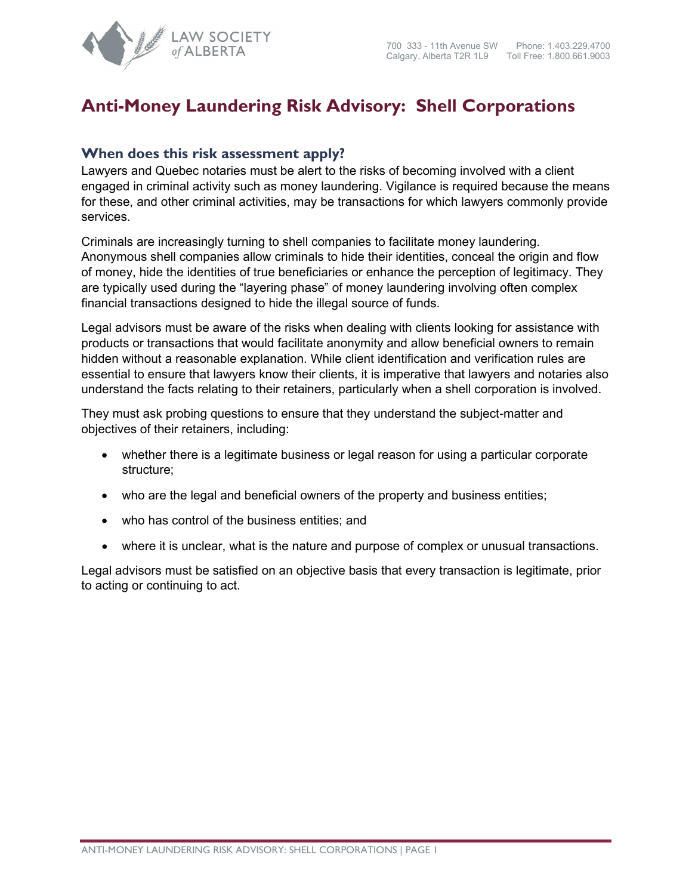

## **Anti-Money Laundering Risk Advisory: Shell Corporations**

## **When does this risk assessment apply?**

Lawyers and Quebec notaries must be alert to the risks of becoming involved with a client engaged in criminal activity such as money laundering. Vigilance is required because the means for these, and other criminal activities, may be transactions for which lawyers commonly provide services.

Criminals are increasingly turning to shell companies to facilitate money laundering. Anonymous shell companies allow criminals to hide their identities, conceal the origin and flow of money, hide the identities of true beneficiaries or enhance the perception of legitimacy. They are typically used during the "layering phase" of money laundering involving often complex financial transactions designed to hide the illegal source of funds.

Legal advisors must be aware of the risks when dealing with clients looking for assistance with products or transactions that would facilitate anonymity and allow beneficial owners to remain hidden without a reasonable explanation. While client identification and verification rules are essential to ensure that lawyers know their clients, it is imperative that lawyers and notaries also understand the facts relating to their retainers, particularly when a shell corporation is involved.

They must ask probing questions to ensure that they understand the subject-matter and objectives of their retainers, including:

- whether there is a legitimate business or legal reason for using a particular corporate structure;
- who are the legal and beneficial owners of the property and business entities;
- who has control of the business entities; and
- where it is unclear, what is the nature and purpose of complex or unusual transactions.

Legal advisors must be satisfied on an objective basis that every transaction is legitimate, prior to acting or continuing to act.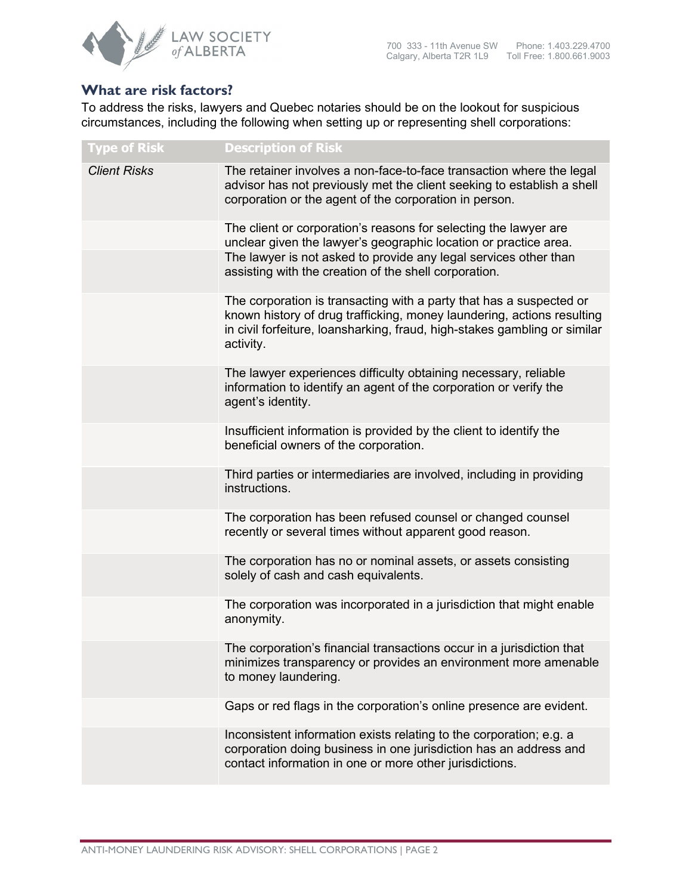

## **What are risk factors?**

To address the risks, lawyers and Quebec notaries should be on the lookout for suspicious circumstances, including the following when setting up or representing shell corporations:

| <b>Type of Risk</b> | <b>Description of Risk</b>                                                                                                                                                                                                              |
|---------------------|-----------------------------------------------------------------------------------------------------------------------------------------------------------------------------------------------------------------------------------------|
| <b>Client Risks</b> | The retainer involves a non-face-to-face transaction where the legal<br>advisor has not previously met the client seeking to establish a shell<br>corporation or the agent of the corporation in person.                                |
|                     | The client or corporation's reasons for selecting the lawyer are<br>unclear given the lawyer's geographic location or practice area.                                                                                                    |
|                     | The lawyer is not asked to provide any legal services other than<br>assisting with the creation of the shell corporation.                                                                                                               |
|                     | The corporation is transacting with a party that has a suspected or<br>known history of drug trafficking, money laundering, actions resulting<br>in civil forfeiture, loansharking, fraud, high-stakes gambling or similar<br>activity. |
|                     | The lawyer experiences difficulty obtaining necessary, reliable<br>information to identify an agent of the corporation or verify the<br>agent's identity.                                                                               |
|                     | Insufficient information is provided by the client to identify the<br>beneficial owners of the corporation.                                                                                                                             |
|                     | Third parties or intermediaries are involved, including in providing<br>instructions.                                                                                                                                                   |
|                     | The corporation has been refused counsel or changed counsel<br>recently or several times without apparent good reason.                                                                                                                  |
|                     | The corporation has no or nominal assets, or assets consisting<br>solely of cash and cash equivalents.                                                                                                                                  |
|                     | The corporation was incorporated in a jurisdiction that might enable<br>anonymity.                                                                                                                                                      |
|                     | The corporation's financial transactions occur in a jurisdiction that<br>minimizes transparency or provides an environment more amenable<br>to money laundering.                                                                        |
|                     | Gaps or red flags in the corporation's online presence are evident.                                                                                                                                                                     |
|                     | Inconsistent information exists relating to the corporation; e.g. a<br>corporation doing business in one jurisdiction has an address and<br>contact information in one or more other jurisdictions.                                     |